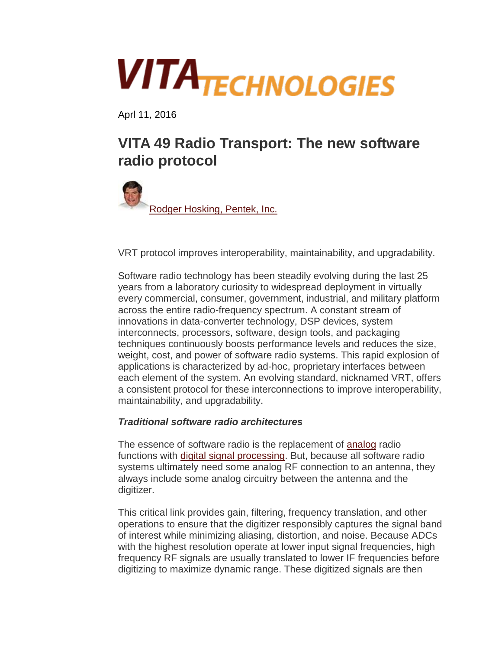# **VITATECHNOLOGIES**

Aprl 11, 2016

# **VITA 49 Radio Transport: The new software radio protocol**



VRT protocol improves interoperability, maintainability, and upgradability.

Software radio technology has been steadily evolving during the last 25 years from a laboratory curiosity to widespread deployment in virtually every commercial, consumer, government, industrial, and military platform across the entire radio-frequency spectrum. A constant stream of innovations in data-converter technology, DSP devices, system interconnects, processors, software, design tools, and packaging techniques continuously boosts performance levels and reduces the size, weight, cost, and power of software radio systems. This rapid explosion of applications is characterized by ad-hoc, proprietary interfaces between each element of the system. An evolving standard, nicknamed VRT, offers a consistent protocol for these interconnections to improve interoperability, maintainability, and upgradability.

# *Traditional software radio architectures*

The essence of software radio is the replacement of [analog](http://techchannels.opensystemsmedia.com/signal-processing/SECTION/analog) radio functions with [digital signal processing.](http://techchannels.opensystemsmedia.com/signal-processing/SECTION/digital-signal-processing) But, because all software radio systems ultimately need some analog RF connection to an antenna, they always include some analog circuitry between the antenna and the digitizer.

This critical link provides gain, filtering, frequency translation, and other operations to ensure that the digitizer responsibly captures the signal band of interest while minimizing aliasing, distortion, and noise. Because ADCs with the highest resolution operate at lower input signal frequencies, high frequency RF signals are usually translated to lower IF frequencies before digitizing to maximize dynamic range. These digitized signals are then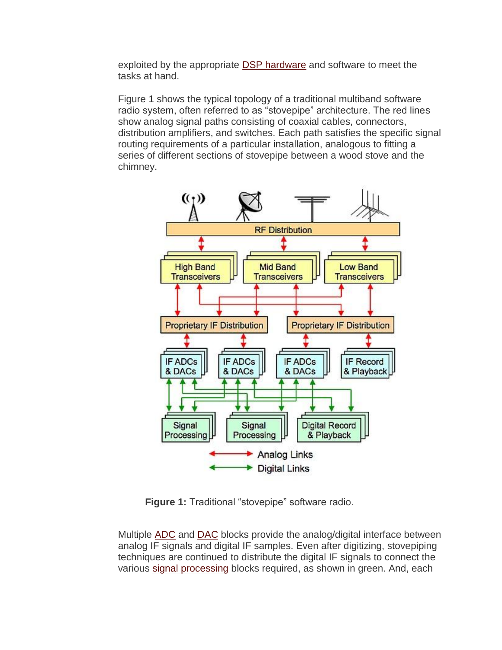exploited by the appropriate **DSP hardware** and software to meet the tasks at hand.

Figure 1 shows the typical topology of a traditional multiband software radio system, often referred to as "stovepipe" architecture. The red lines show analog signal paths consisting of coaxial cables, connectors, distribution amplifiers, and switches. Each path satisfies the specific signal routing requirements of a particular installation, analogous to fitting a series of different sections of stovepipe between a wood stove and the chimney.



**Figure 1:** Traditional "stovepipe" software radio.

Multiple [ADC](http://techchannels.opensystemsmedia.com/signal-processing/search/?in=analog#adc) and [DAC](http://techchannels.opensystemsmedia.com/signal-processing/search/?in=analog#dac) blocks provide the analog/digital interface between analog IF signals and digital IF samples. Even after digitizing, stovepiping techniques are continued to distribute the digital IF signals to connect the various [signal processing](http://techchannels.opensystemsmedia.com/signal-processing/) blocks required, as shown in green. And, each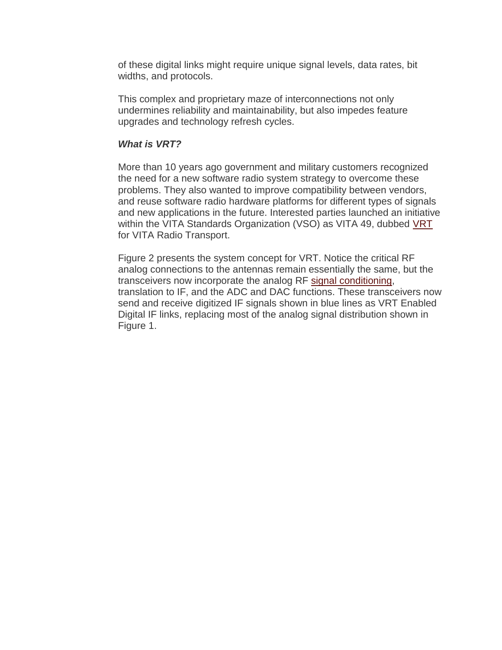of these digital links might require unique signal levels, data rates, bit widths, and protocols.

This complex and proprietary maze of interconnections not only undermines reliability and maintainability, but also impedes feature upgrades and technology refresh cycles.

#### *What is VRT?*

More than 10 years ago government and military customers recognized the need for a new software radio system strategy to overcome these problems. They also wanted to improve compatibility between vendors, and reuse software radio hardware platforms for different types of signals and new applications in the future. Interested parties launched an initiative within the VITA Standards Organization (VSO) as VITA 49, dubbed [VRT](http://vita.mil-embedded.com/topics/vrt) for VITA Radio Transport.

Figure 2 presents the system concept for VRT. Notice the critical RF analog connections to the antennas remain essentially the same, but the transceivers now incorporate the analog RF [signal conditioning,](http://techchannels.opensystemsmedia.com/signal-processing/search/?in=Signal%20Acquisition#signal%20conditioning) translation to IF, and the ADC and DAC functions. These transceivers now send and receive digitized IF signals shown in blue lines as VRT Enabled Digital IF links, replacing most of the analog signal distribution shown in Figure 1.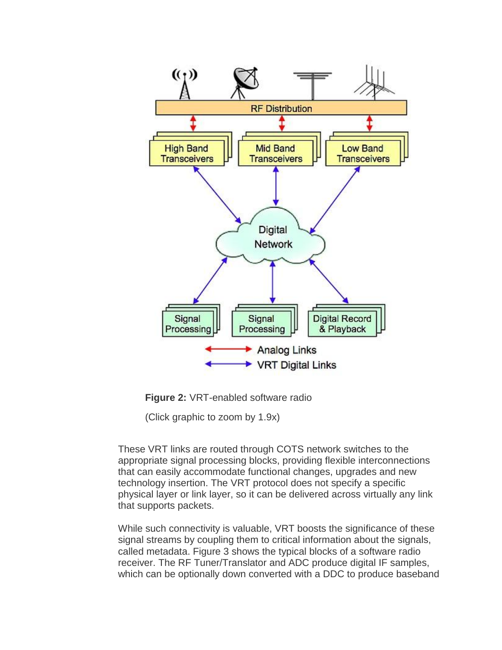



(Click graphic to zoom by 1.9x)

These VRT links are routed through COTS network switches to the appropriate signal processing blocks, providing flexible interconnections that can easily accommodate functional changes, upgrades and new technology insertion. The VRT protocol does not specify a specific physical layer or link layer, so it can be delivered across virtually any link that supports packets.

While such connectivity is valuable, VRT boosts the significance of these signal streams by coupling them to critical information about the signals, called metadata. Figure 3 shows the typical blocks of a software radio receiver. The RF Tuner/Translator and ADC produce digital IF samples, which can be optionally down converted with a DDC to produce baseband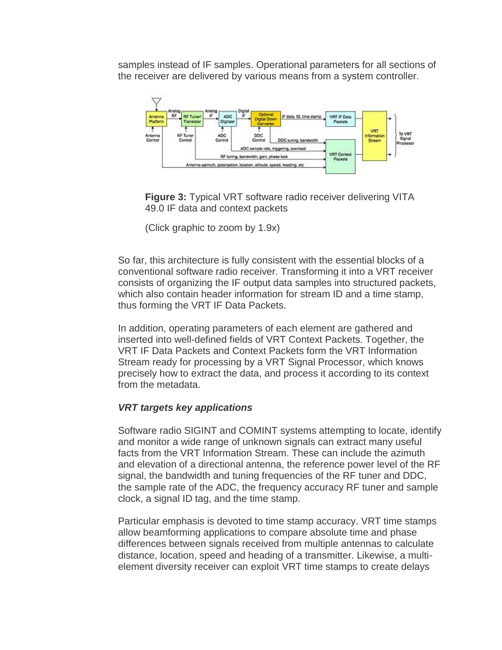samples instead of IF samples. Operational parameters for all sections of the receiver are delivered by various means from a system controller.



**Figure 3:** Typical VRT software radio receiver delivering VITA 49.0 IF data and context packets

(Click graphic to zoom by 1.9x)

So far, this architecture is fully consistent with the essential blocks of a conventional software radio receiver. Transforming it into a VRT receiver consists of organizing the IF output data samples into structured packets, which also contain header information for stream ID and a time stamp, thus forming the VRT IF Data Packets.

In addition, operating parameters of each element are gathered and inserted into well-defined fields of VRT Context Packets. Together, the VRT IF Data Packets and Context Packets form the VRT Information Stream ready for processing by a VRT Signal Processor, which knows precisely how to extract the data, and process it according to its context from the metadata.

# *VRT targets key applications*

Software radio SIGINT and COMINT systems attempting to locate, identify and monitor a wide range of unknown signals can extract many useful facts from the VRT Information Stream. These can include the azimuth and elevation of a directional antenna, the reference power level of the RF signal, the bandwidth and tuning frequencies of the RF tuner and DDC, the sample rate of the ADC, the frequency accuracy RF tuner and sample clock, a signal ID tag, and the time stamp.

Particular emphasis is devoted to time stamp accuracy. VRT time stamps allow beamforming applications to compare absolute time and phase differences between signals received from multiple antennas to calculate distance, location, speed and heading of a transmitter. Likewise, a multielement diversity receiver can exploit VRT time stamps to create delays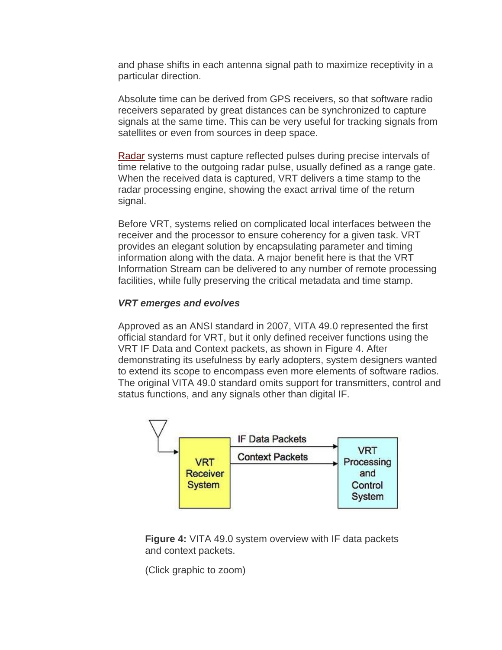and phase shifts in each antenna signal path to maximize receptivity in a particular direction.

Absolute time can be derived from GPS receivers, so that software radio receivers separated by great distances can be synchronized to capture signals at the same time. This can be very useful for tracking signals from satellites or even from sources in deep space.

[Radar](http://techchannels.opensystemsmedia.com/signal-processing/search/?in=Sensor%20Processing#radar) systems must capture reflected pulses during precise intervals of time relative to the outgoing radar pulse, usually defined as a range gate. When the received data is captured, VRT delivers a time stamp to the radar processing engine, showing the exact arrival time of the return signal.

Before VRT, systems relied on complicated local interfaces between the receiver and the processor to ensure coherency for a given task. VRT provides an elegant solution by encapsulating parameter and timing information along with the data. A major benefit here is that the VRT Information Stream can be delivered to any number of remote processing facilities, while fully preserving the critical metadata and time stamp.

#### *VRT emerges and evolves*

Approved as an ANSI standard in 2007, VITA 49.0 represented the first official standard for VRT, but it only defined receiver functions using the VRT IF Data and Context packets, as shown in Figure 4. After demonstrating its usefulness by early adopters, system designers wanted to extend its scope to encompass even more elements of software radios. The original VITA 49.0 standard omits support for transmitters, control and status functions, and any signals other than digital IF.



**Figure 4:** VITA 49.0 system overview with IF data packets and context packets.

(Click graphic to zoom)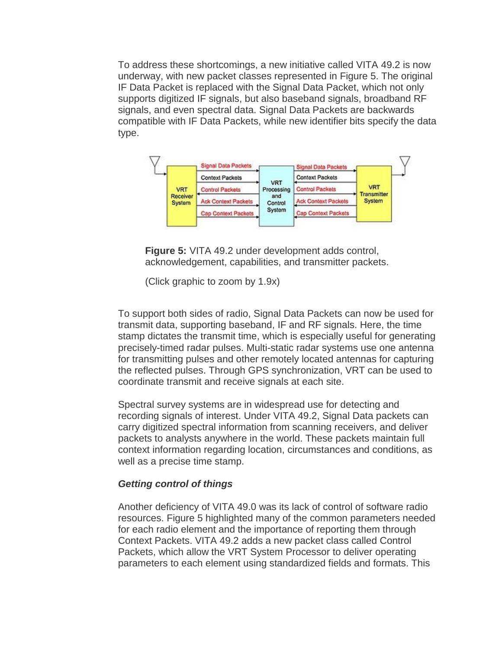To address these shortcomings, a new initiative called VITA 49.2 is now underway, with new packet classes represented in Figure 5. The original IF Data Packet is replaced with the Signal Data Packet, which not only supports digitized IF signals, but also baseband signals, broadband RF signals, and even spectral data. Signal Data Packets are backwards compatible with IF Data Packets, while new identifier bits specify the data type.



**Figure 5:** VITA 49.2 under development adds control, acknowledgement, capabilities, and transmitter packets.

(Click graphic to zoom by 1.9x)

To support both sides of radio, Signal Data Packets can now be used for transmit data, supporting baseband, IF and RF signals. Here, the time stamp dictates the transmit time, which is especially useful for generating precisely-timed radar pulses. Multi-static radar systems use one antenna for transmitting pulses and other remotely located antennas for capturing the reflected pulses. Through GPS synchronization, VRT can be used to coordinate transmit and receive signals at each site.

Spectral survey systems are in widespread use for detecting and recording signals of interest. Under VITA 49.2, Signal Data packets can carry digitized spectral information from scanning receivers, and deliver packets to analysts anywhere in the world. These packets maintain full context information regarding location, circumstances and conditions, as well as a precise time stamp.

# *Getting control of things*

Another deficiency of VITA 49.0 was its lack of control of software radio resources. Figure 5 highlighted many of the common parameters needed for each radio element and the importance of reporting them through Context Packets. VITA 49.2 adds a new packet class called Control Packets, which allow the VRT System Processor to deliver operating parameters to each element using standardized fields and formats. This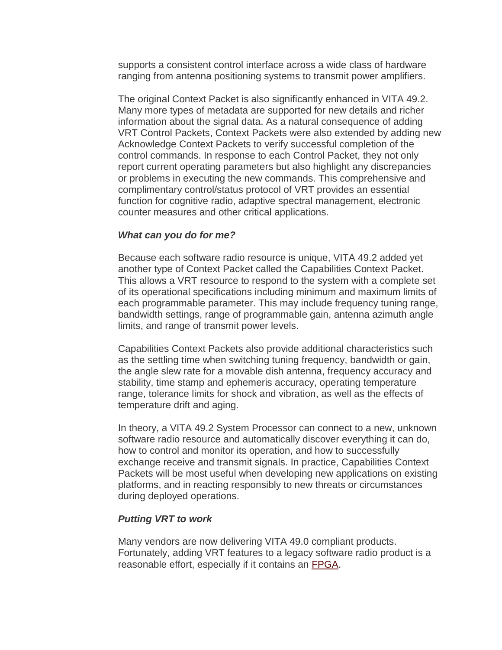supports a consistent control interface across a wide class of hardware ranging from antenna positioning systems to transmit power amplifiers.

The original Context Packet is also significantly enhanced in VITA 49.2. Many more types of metadata are supported for new details and richer information about the signal data. As a natural consequence of adding VRT Control Packets, Context Packets were also extended by adding new Acknowledge Context Packets to verify successful completion of the control commands. In response to each Control Packet, they not only report current operating parameters but also highlight any discrepancies or problems in executing the new commands. This comprehensive and complimentary control/status protocol of VRT provides an essential function for cognitive radio, adaptive spectral management, electronic counter measures and other critical applications.

#### *What can you do for me?*

Because each software radio resource is unique, VITA 49.2 added yet another type of Context Packet called the Capabilities Context Packet. This allows a VRT resource to respond to the system with a complete set of its operational specifications including minimum and maximum limits of each programmable parameter. This may include frequency tuning range, bandwidth settings, range of programmable gain, antenna azimuth angle limits, and range of transmit power levels.

Capabilities Context Packets also provide additional characteristics such as the settling time when switching tuning frequency, bandwidth or gain, the angle slew rate for a movable dish antenna, frequency accuracy and stability, time stamp and ephemeris accuracy, operating temperature range, tolerance limits for shock and vibration, as well as the effects of temperature drift and aging.

In theory, a VITA 49.2 System Processor can connect to a new, unknown software radio resource and automatically discover everything it can do, how to control and monitor its operation, and how to successfully exchange receive and transmit signals. In practice, Capabilities Context Packets will be most useful when developing new applications on existing platforms, and in reacting responsibly to new threats or circumstances during deployed operations.

# *Putting VRT to work*

Many vendors are now delivering VITA 49.0 compliant products. Fortunately, adding VRT features to a legacy software radio product is a reasonable effort, especially if it contains an [FPGA.](http://tech.opensystemsmedia.com/fpga/)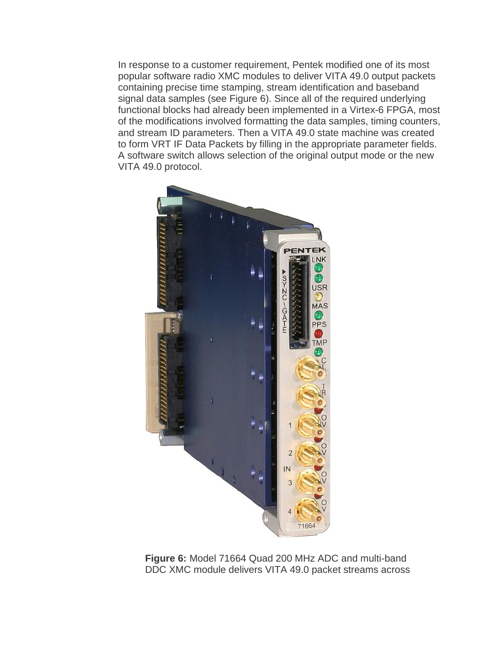In response to a customer requirement, Pentek modified one of its most popular software radio XMC modules to deliver VITA 49.0 output packets containing precise time stamping, stream identification and baseband signal data samples (see Figure 6). Since all of the required underlying functional blocks had already been implemented in a Virtex-6 FPGA, most of the modifications involved formatting the data samples, timing counters, and stream ID parameters. Then a VITA 49.0 state machine was created to form VRT IF Data Packets by filling in the appropriate parameter fields. A software switch allows selection of the original output mode or the new VITA 49.0 protocol.



**Figure 6:** Model 71664 Quad 200 MHz ADC and multi-band DDC XMC module delivers VITA 49.0 packet streams across